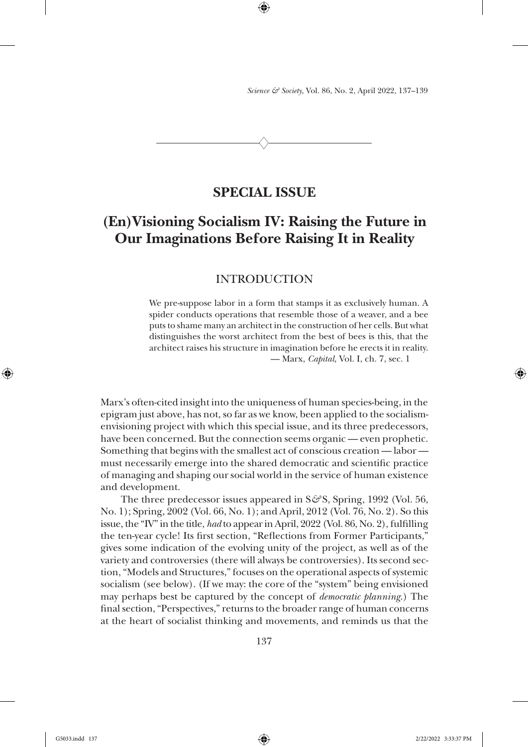*Science & Society*, Vol. 86, No. 2, April 2022, 137–139

 $\heartsuit$ 

⊕

# **SPECIAL ISSUE**

# **(En)Visioning Socialism IV: Raising the Future in Our Imaginations Before Raising It in Reality**

## INTRODUCTION

We pre-suppose labor in a form that stamps it as exclusively human. A spider conducts operations that resemble those of a weaver, and a bee puts to shame many an architect in the construction of her cells. But what distinguishes the worst architect from the best of bees is this, that the architect raises his structure in imagination before he erects it in reality. — Marx, *Capital,* Vol. I, ch. 7, sec. 1

Marx's often-cited insight into the uniqueness of human species-being, in the epigram just above, has not, so far as we know, been applied to the socialismenvisioning project with which this special issue, and its three predecessors, have been concerned. But the connection seems organic — even prophetic. Something that begins with the smallest act of conscious creation — labor must necessarily emerge into the shared democratic and scientific practice of managing and shaping our social world in the service of human existence and development.

The three predecessor issues appeared in S&S, Spring, 1992 (Vol. 56, No. 1); Spring, 2002 (Vol. 66, No. 1); and April, 2012 (Vol. 76, No. 2). So this issue, the "IV" in the title, *had* to appear in April, 2022 (Vol. 86, No. 2), fulfilling the ten-year cycle! Its first section, "Reflections from Former Participants," gives some indication of the evolving unity of the project, as well as of the variety and controversies (there will always be controversies). Its second section, "Models and Structures," focuses on the operational aspects of systemic socialism (see below). (If we may: the core of the "system" being envisioned may perhaps best be captured by the concept of *democratic planning*.) The final section, "Perspectives," returns to the broader range of human concerns at the heart of socialist thinking and movements, and reminds us that the

137

⊕

⊕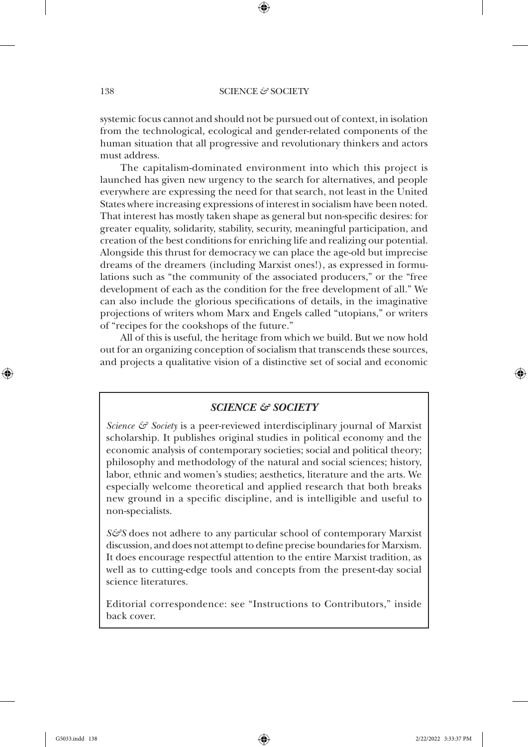#### 138 SCIENCE & SOCIETY

⊕

systemic focus cannot and should not be pursued out of context, in isolation from the technological, ecological and gender-related components of the human situation that all progressive and revolutionary thinkers and actors must address.

The capitalism-dominated environment into which this project is launched has given new urgency to the search for alternatives, and people everywhere are expressing the need for that search, not least in the United States where increasing expressions of interest in socialism have been noted. That interest has mostly taken shape as general but non-specific desires: for greater equality, solidarity, stability, security, meaningful participation, and creation of the best conditions for enriching life and realizing our potential. Alongside this thrust for democracy we can place the age-old but imprecise dreams of the dreamers (including Marxist ones!), as expressed in formulations such as "the community of the associated producers," or the "free development of each as the condition for the free development of all." We can also include the glorious specifications of details, in the imaginative projections of writers whom Marx and Engels called "utopians," or writers of "recipes for the cookshops of the future."

All of this is useful, the heritage from which we build. But we now hold out for an organizing conception of socialism that transcends these sources, and projects a qualitative vision of a distinctive set of social and economic

## *SCIENCE & SOCIETY*

*Science & Society* is a peer-reviewed interdisciplinary journal of Marxist scholarship. It publishes original studies in political economy and the economic analysis of contemporary societies; social and political theory; philosophy and methodology of the natural and social sciences; history, labor, ethnic and women's studies; aesthetics, literature and the arts. We especially welcome theoretical and applied research that both breaks new ground in a specific discipline, and is intelligible and useful to non-specialists.

*S&S* does not adhere to any particular school of contemporary Marxist discussion, and does not attempt to define precise boundaries for Marxism. It does encourage respectful attention to the entire Marxist tradition, as well as to cutting-edge tools and concepts from the present-day social science literatures.

Editorial correspondence: see "Instructions to Contributors," inside back cover.

↔